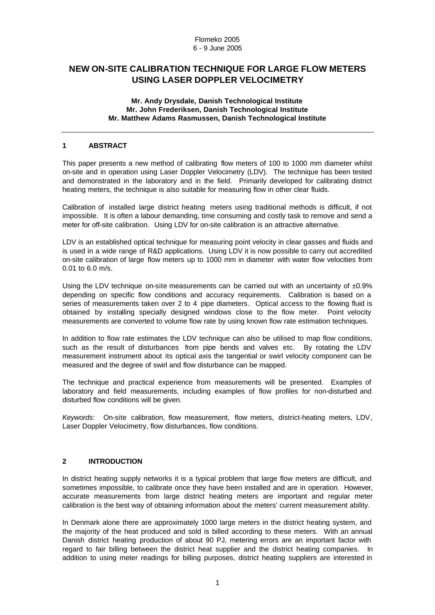# **NEW ON-SITE CALIBRATION TECHNIQUE FOR LARGE FLOW METERS USING LASER DOPPLER VELOCIMETRY**

### **Mr. Andy Drysdale, Danish Technological Institute Mr. John Frederiksen, Danish Technological Institute Mr. Matthew Adams Rasmussen, Danish Technological Institute**

### **1 ABSTRACT**

This paper presents a new method of calibrating flow meters of 100 to 1000 mm diameter whilst on-site and in operation using Laser Doppler Velocimetry (LDV). The technique has been tested and demonstrated in the laboratory and in the field. Primarily developed for calibrating district heating meters, the technique is also suitable for measuring flow in other clear fluids.

Calibration of installed large district heating meters using traditional methods is difficult, if not impossible. It is often a labour demanding, time consuming and costly task to remove and send a meter for off-site calibration. Using LDV for on-site calibration is an attractive alternative.

LDV is an established optical technique for measuring point velocity in clear gasses and fluids and is used in a wide range of R&D applications. Using LDV it is now possible to carry out accredited on-site calibration of large flow meters up to 1000 mm in diameter with water flow velocities from 0.01 to 6.0 m/s.

Using the LDV technique on-site measurements can be carried out with an uncertainty of  $±0.9\%$ depending on specific flow conditions and accuracy requirements. Calibration is based on a series of measurements taken over 2 to 4 pipe diameters. Optical access to the flowing fluid is obtained by installing specially designed windows close to the flow meter. Point velocity measurements are converted to volume flow rate by using known flow rate estimation techniques.

In addition to flow rate estimates the LDV technique can also be utilised to map flow conditions, such as the result of disturbances from pipe bends and valves etc. By rotating the LDV measurement instrument about its optical axis the tangential or swirl velocity component can be measured and the degree of swirl and flow disturbance can be mapped.

The technique and practical experience from measurements will be presented. Examples of laboratory and field measurements, including examples of flow profiles for non-disturbed and disturbed flow conditions will be given.

*Keywords:* On-site calibration, flow measurement, flow meters, district-heating meters, LDV, Laser Doppler Velocimetry, flow disturbances, flow conditions.

## **2 INTRODUCTION**

In district heating supply networks it is a typical problem that large flow meters are difficult, and sometimes impossible, to calibrate once they have been installed and are in operation. However, accurate measurements from large district heating meters are important and regular meter calibration is the best way of obtaining information about the meters' current measurement ability.

In Denmark alone there are approximately 1000 large meters in the district heating system, and the majority of the heat produced and sold is billed according to these meters. With an annual Danish district heating production of about 90 PJ, metering errors are an important factor with regard to fair billing between the district heat supplier and the district heating companies. In addition to using meter readings for billing purposes, district heating suppliers are interested in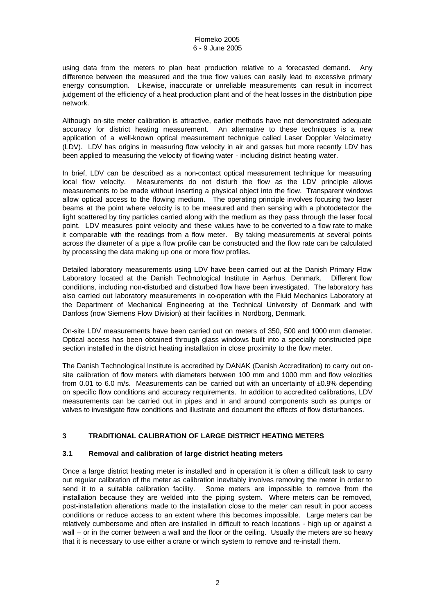using data from the meters to plan heat production relative to a forecasted demand. Any difference between the measured and the true flow values can easily lead to excessive primary energy consumption. Likewise, inaccurate or unreliable measurements can result in incorrect judgement of the efficiency of a heat production plant and of the heat losses in the distribution pipe network.

Although on-site meter calibration is attractive, earlier methods have not demonstrated adequate accuracy for district heating measurement. An alternative to these techniques is a new application of a well-known optical measurement technique called Laser Doppler Velocimetry (LDV). LDV has origins in measuring flow velocity in air and gasses but more recently LDV has been applied to measuring the velocity of flowing water - including district heating water.

In brief, LDV can be described as a non-contact optical measurement technique for measuring local flow velocity. Measurements do not disturb the flow as the LDV principle allows measurements to be made without inserting a physical object into the flow. Transparent windows allow optical access to the flowing medium. The operating principle involves focusing two laser beams at the point where velocity is to be measured and then sensing with a photodetector the light scattered by tiny particles carried along with the medium as they pass through the laser focal point. LDV measures point velocity and these values have to be converted to a flow rate to make it comparable with the readings from a flow meter. By taking measurements at several points across the diameter of a pipe a flow profile can be constructed and the flow rate can be calculated by processing the data making up one or more flow profiles.

Detailed laboratory measurements using LDV have been carried out at the Danish Primary Flow Laboratory located at the Danish Technological Institute in Aarhus, Denmark. Different flow conditions, including non-disturbed and disturbed flow have been investigated. The laboratory has also carried out laboratory measurements in co-operation with the Fluid Mechanics Laboratory at the Department of Mechanical Engineering at the Technical University of Denmark and with Danfoss (now Siemens Flow Division) at their facilities in Nordborg, Denmark.

On-site LDV measurements have been carried out on meters of 350, 500 and 1000 mm diameter. Optical access has been obtained through glass windows built into a specially constructed pipe section installed in the district heating installation in close proximity to the flow meter.

The Danish Technological Institute is accredited by DANAK (Danish Accreditation) to carry out onsite calibration of flow meters with diameters between 100 mm and 1000 mm and flow velocities from 0.01 to 6.0 m/s. Measurements can be carried out with an uncertainty of ±0.9% depending on specific flow conditions and accuracy requirements. In addition to accredited calibrations, LDV measurements can be carried out in pipes and in and around components such as pumps or valves to investigate flow conditions and illustrate and document the effects of flow disturbances.

## **3 TRADITIONAL CALIBRATION OF LARGE DISTRICT HEATING METERS**

## **3.1 Removal and calibration of large district heating meters**

Once a large district heating meter is installed and in operation it is often a difficult task to carry out regular calibration of the meter as calibration inevitably involves removing the meter in order to send it to a suitable calibration facility. Some meters are impossible to remove from the installation because they are welded into the piping system. Where meters can be removed, post-installation alterations made to the installation close to the meter can result in poor access conditions or reduce access to an extent where this becomes impossible. Large meters can be relatively cumbersome and often are installed in difficult to reach locations - high up or against a wall – or in the corner between a wall and the floor or the ceiling. Usually the meters are so heavy that it is necessary to use either a crane or winch system to remove and re-install them.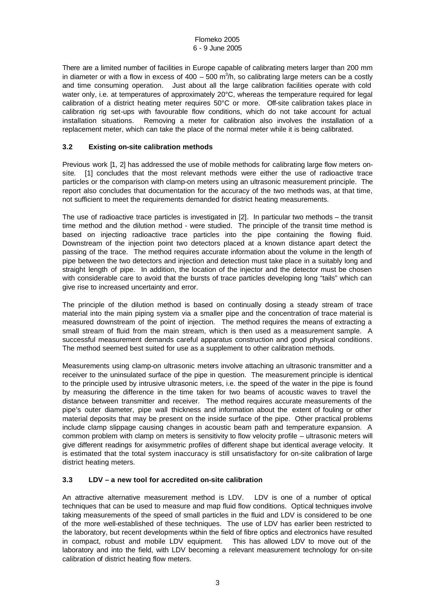There are a limited number of facilities in Europe capable of calibrating meters larger than 200 mm in diameter or with a flow in excess of 400 – 500 m<sup>3</sup>/h, so calibrating large meters can be a costly and time consuming operation. Just about all the large calibration facilities operate with cold water only, i.e. at temperatures of approximately 20°C, whereas the temperature required for legal calibration of a district heating meter requires 50°C or more. Off-site calibration takes place in calibration rig set-ups with favourable flow conditions, which do not take account for actual installation situations. Removing a meter for calibration also involves the installation of a replacement meter, which can take the place of the normal meter while it is being calibrated.

## **3.2 Existing on-site calibration methods**

Previous work [1, 2] has addressed the use of mobile methods for calibrating large flow meters onsite. [1] concludes that the most relevant methods were either the use of radioactive trace particles or the comparison with clamp-on meters using an ultrasonic measurement principle. The report also concludes that documentation for the accuracy of the two methods was, at that time, not sufficient to meet the requirements demanded for district heating measurements.

The use of radioactive trace particles is investigated in [2]. In particular two methods – the transit time method and the dilution method - were studied. The principle of the transit time method is based on injecting radioactive trace particles into the pipe containing the flowing fluid. Downstream of the injection point two detectors placed at a known distance apart detect the passing of the trace. The method requires accurate information about the volume in the length of pipe between the two detectors and injection and detection must take place in a suitably long and straight length of pipe. In addition, the location of the injector and the detector must be chosen with considerable care to avoid that the bursts of trace particles developing long "tails" which can give rise to increased uncertainty and error.

The principle of the dilution method is based on continually dosing a steady stream of trace material into the main piping system via a smaller pipe and the concentration of trace material is measured downstream of the point of injection. The method requires the means of extracting a small stream of fluid from the main stream, which is then used as a measurement sample. A successful measurement demands careful apparatus construction and good physical conditions. The method seemed best suited for use as a supplement to other calibration methods.

Measurements using clamp-on ultrasonic meters involve attaching an ultrasonic transmitter and a receiver to the uninsulated surface of the pipe in question. The measurement principle is identical to the principle used by intrusive ultrasonic meters, i.e. the speed of the water in the pipe is found by measuring the difference in the time taken for two beams of acoustic waves to travel the distance between transmitter and receiver. The method requires accurate measurements of the pipe's outer diameter, pipe wall thickness and information about the extent of fouling or other material deposits that may be present on the inside surface of the pipe. Other practical problems include clamp slippage causing changes in acoustic beam path and temperature expansion. A common problem with clamp on meters is sensitivity to flow velocity profile – ultrasonic meters will give different readings for axisymmetric profiles of different shape but identical average velocity. It is estimated that the total system inaccuracy is still unsatisfactory for on-site calibration of large district heating meters.

## **3.3 LDV – a new tool for accredited on-site calibration**

An attractive alternative measurement method is LDV. LDV is one of a number of optical techniques that can be used to measure and map fluid flow conditions. Optical techniques involve taking measurements of the speed of small particles in the fluid and LDV is considered to be one of the more well-established of these techniques. The use of LDV has earlier been restricted to the laboratory, but recent developments within the field of fibre optics and electronics have resulted in compact, robust and mobile LDV equipment. This has allowed LDV to move out of the laboratory and into the field, with LDV becoming a relevant measurement technology for on-site calibration of district heating flow meters.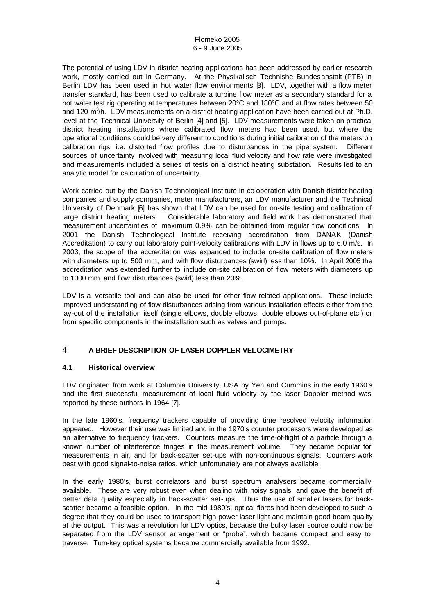The potential of using LDV in district heating applications has been addressed by earlier research work, mostly carried out in Germany. At the Physikalisch Technishe Bundesanstalt (PTB) in Berlin LDV has been used in hot water flow environments [3]. LDV, together with a flow meter transfer standard, has been used to calibrate a turbine flow meter as a secondary standard for a hot water test rig operating at temperatures between 20°C and 180°C and at flow rates between 50 and 120 m<sup>3</sup>/h. LDV measurements on a district heating application have been carried out at Ph.D. level at the Technical University of Berlin [4] and [5]. LDV measurements were taken on practical district heating installations where calibrated flow meters had been used, but where the operational conditions could be very different to conditions during initial calibration of the meters on calibration rigs, i.e. distorted flow profiles due to disturbances in the pipe system. Different sources of uncertainty involved with measuring local fluid velocity and flow rate were investigated and measurements included a series of tests on a district heating substation. Results led to an analytic model for calculation of uncertainty.

Work carried out by the Danish Technological Institute in co-operation with Danish district heating companies and supply companies, meter manufacturers, an LDV manufacturer and the Technical University of Denmark [6] has shown that LDV can be used for on-site testing and calibration of large district heating meters. Considerable laboratory and field work has demonstrated that measurement uncertainties of maximum 0.9% can be obtained from regular flow conditions. In 2001 the Danish Technological Institute receiving accreditation from DANAK (Danish Accreditation) to carry out laboratory point-velocity calibrations with LDV in flows up to 6.0 m/s. In 2003, the scope of the accreditation was expanded to include on-site calibration of flow meters with diameters up to 500 mm, and with flow disturbances (swirl) less than 10%. In April 2005 the accreditation was extended further to include on-site calibration of flow meters with diameters up to 1000 mm, and flow disturbances (swirl) less than 20%.

LDV is a versatile tool and can also be used for other flow related applications. These include improved understanding of flow disturbances arising from various installation effects either from the lay-out of the installation itself (single elbows, double elbows, double elbows out-of-plane etc.) or from specific components in the installation such as valves and pumps.

## **4 A BRIEF DESCRIPTION OF LASER DOPPLER VELOCIMETRY**

## **4.1 Historical overview**

LDV originated from work at Columbia University, USA by Yeh and Cummins in the early 1960's and the first successful measurement of local fluid velocity by the laser Doppler method was reported by these authors in 1964 [7].

In the late 1960's, frequency trackers capable of providing time resolved velocity information appeared. However their use was limited and in the 1970's counter processors were developed as an alternative to frequency trackers. Counters measure the time-of-flight of a particle through a known number of interference fringes in the measurement volume. They became popular for measurements in air, and for back-scatter set-ups with non-continuous signals. Counters work best with good signal-to-noise ratios, which unfortunately are not always available.

In the early 1980's, burst correlators and burst spectrum analysers became commercially available. These are very robust even when dealing with noisy signals, and gave the benefit of better data quality especially in back-scatter set-ups. Thus the use of smaller lasers for backscatter became a feasible option. In the mid-1980's, optical fibres had been developed to such a degree that they could be used to transport high-power laser light and maintain good beam quality at the output. This was a revolution for LDV optics, because the bulky laser source could now be separated from the LDV sensor arrangement or "probe", which became compact and easy to traverse. Turn-key optical systems became commercially available from 1992.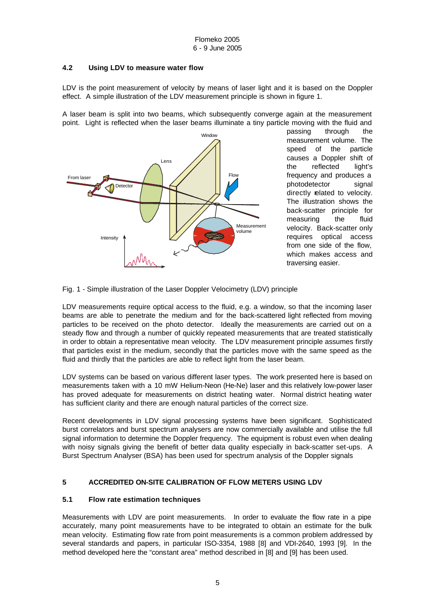## **4.2 Using LDV to measure water flow**

LDV is the point measurement of velocity by means of laser light and it is based on the Doppler effect. A simple illustration of the LDV measurement principle is shown in figure 1.

A laser beam is split into two beams, which subsequently converge again at the measurement point. Light is reflected when the laser beams illuminate a tiny particle moving with the fluid and



passing through the measurement volume. The speed of the particle causes a Doppler shift of the reflected light's frequency and produces a photodetector signal directly related to velocity. The illustration shows the back-scatter principle for measuring the fluid velocity. Back-scatter only requires optical access from one side of the flow, which makes access and traversing easier.

Fig. 1 - Simple illustration of the Laser Doppler Velocimetry (LDV) principle

LDV measurements require optical access to the fluid, e.g. a window, so that the incoming laser beams are able to penetrate the medium and for the back-scattered light reflected from moving particles to be received on the photo detector. Ideally the measurements are carried out on a steady flow and through a number of quickly repeated measurements that are treated statistically in order to obtain a representative mean velocity. The LDV measurement principle assumes firstly that particles exist in the medium, secondly that the particles move with the same speed as the fluid and thirdly that the particles are able to reflect light from the laser beam.

LDV systems can be based on various different laser types. The work presented here is based on measurements taken with a 10 mW Helium-Neon (He-Ne) laser and this relatively low-power laser has proved adequate for measurements on district heating water. Normal district heating water has sufficient clarity and there are enough natural particles of the correct size.

Recent developments in LDV signal processing systems have been significant. Sophisticated burst correlators and burst spectrum analysers are now commercially available and utilise the full signal information to determine the Doppler frequency. The equipment is robust even when dealing with noisy signals giving the benefit of better data quality especially in back-scatter set-ups. A Burst Spectrum Analyser (BSA) has been used for spectrum analysis of the Doppler signals

## **5 ACCREDITED ON-SITE CALIBRATION OF FLOW METERS USING LDV**

#### **5.1 Flow rate estimation techniques**

Measurements with LDV are point measurements. In order to evaluate the flow rate in a pipe accurately, many point measurements have to be integrated to obtain an estimate for the bulk mean velocity. Estimating flow rate from point measurements is a common problem addressed by several standards and papers, in particular ISO-3354, 1988 [8] and VDI-2640, 1993 [9]. In the method developed here the "constant area" method described in [8] and [9] has been used.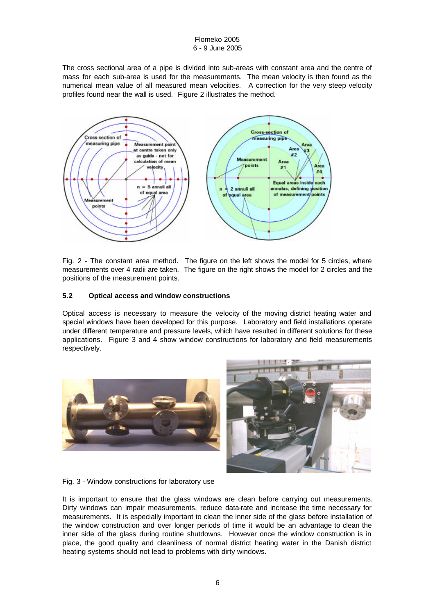The cross sectional area of a pipe is divided into sub-areas with constant area and the centre of mass for each sub-area is used for the measurements. The mean velocity is then found as the numerical mean value of all measured mean velocities. A correction for the very steep velocity profiles found near the wall is used. Figure 2 illustrates the method.



Fig. 2 - The constant area method. The figure on the left shows the model for 5 circles, where measurements over 4 radii are taken. The figure on the right shows the model for 2 circles and the positions of the measurement points.

## **5.2 Optical access and window constructions**

Optical access is necessary to measure the velocity of the moving district heating water and special windows have been developed for this purpose. Laboratory and field installations operate under different temperature and pressure levels, which have resulted in different solutions for these applications. Figure 3 and 4 show window constructions for laboratory and field measurements respectively.





Fig. 3 - Window constructions for laboratory use

It is important to ensure that the glass windows are clean before carrying out measurements. Dirty windows can impair measurements, reduce data-rate and increase the time necessary for measurements. It is especially important to clean the inner side of the glass before installation of the window construction and over longer periods of time it would be an advantage to clean the inner side of the glass during routine shutdowns. However once the window construction is in place, the good quality and cleanliness of normal district heating water in the Danish district heating systems should not lead to problems with dirty windows.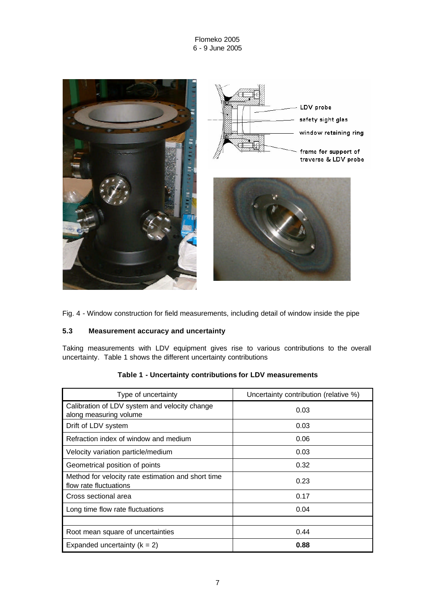

Fig. 4 - Window construction for field measurements, including detail of window inside the pipe

## **5.3 Measurement accuracy and uncertainty**

Taking measurements with LDV equipment gives rise to various contributions to the overall uncertainty. Table 1 shows the different uncertainty contributions

| Type of uncertainty                                                          | Uncertainty contribution (relative %) |  |
|------------------------------------------------------------------------------|---------------------------------------|--|
| Calibration of LDV system and velocity change<br>along measuring volume      | 0.03                                  |  |
| Drift of LDV system                                                          | 0.03                                  |  |
| Refraction index of window and medium                                        | 0.06                                  |  |
| Velocity variation particle/medium                                           | 0.03                                  |  |
| Geometrical position of points                                               | 0.32                                  |  |
| Method for velocity rate estimation and short time<br>flow rate fluctuations | 0.23                                  |  |
| Cross sectional area                                                         | 0.17                                  |  |
| Long time flow rate fluctuations                                             | 0.04                                  |  |
| Root mean square of uncertainties                                            | 0.44                                  |  |
| Expanded uncertainty $(k = 2)$                                               | 0.88                                  |  |

## **Table 1 - Uncertainty contributions for LDV measurements**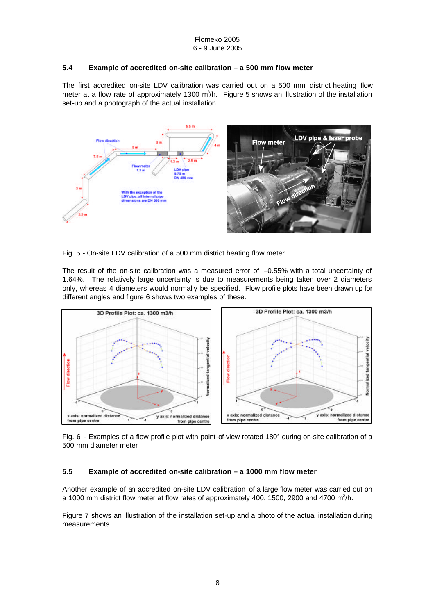### **5.4 Example of accredited on-site calibration – a 500 mm flow meter**

The first accredited on-site LDV calibration was carried out on a 500 mm district heating flow meter at a flow rate of approximately 1300  $m^3/h$ . Figure 5 shows an illustration of the installation set-up and a photograph of the actual installation.



Fig. 5 - On-site LDV calibration of a 500 mm district heating flow meter

The result of the on-site calibration was a measured error of  $-0.55%$  with a total uncertainty of 1.64%. The relatively large uncertainty is due to measurements being taken over 2 diameters only, whereas 4 diameters would normally be specified. Flow profile plots have been drawn up for different angles and figure 6 shows two examples of these.



Fig. 6 - Examples of a flow profile plot with point-of-view rotated 180° during on-site calibration of a 500 mm diameter meter

## **5.5 Example of accredited on-site calibration – a 1000 mm flow meter**

Another example of an accredited on-site LDV calibration of a large flow meter was carried out on a 1000 mm district flow meter at flow rates of approximately 400, 1500, 2900 and 4700  $m^3/h$ .

Figure 7 shows an illustration of the installation set-up and a photo of the actual installation during measurements.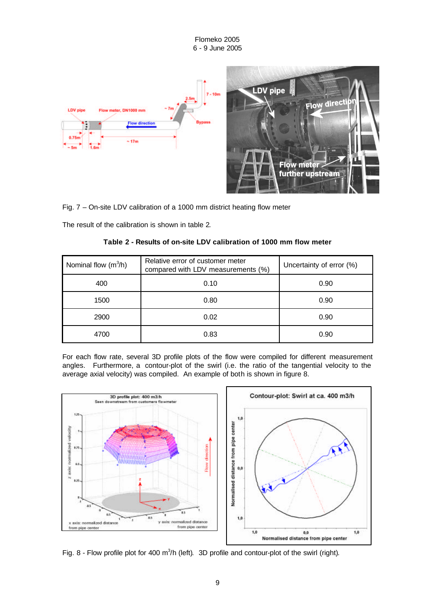

Fig. 7 – On-site LDV calibration of a 1000 mm district heating flow meter

The result of the calibration is shown in table 2.

| Nominal flow $(m^3/h)$ | Relative error of customer meter<br>compared with LDV measurements (%) | Uncertainty of error (%) |
|------------------------|------------------------------------------------------------------------|--------------------------|
| 400                    | 0.10                                                                   | 0.90                     |
| 1500                   | 0.80                                                                   | 0.90                     |
| 2900                   | 0.02                                                                   | 0.90                     |
| 4700                   | 0.83                                                                   | 0.90                     |

**Table 2 - Results of on-site LDV calibration of 1000 mm flow meter**

For each flow rate, several 3D profile plots of the flow were compiled for different measurement angles. Furthermore, a contour-plot of the swirl (i.e. the ratio of the tangential velocity to the average axial velocity) was compiled. An example of both is shown in figure 8.



Fig. 8 - Flow profile plot for 400  $m^3/h$  (left). 3D profile and contour-plot of the swirl (right).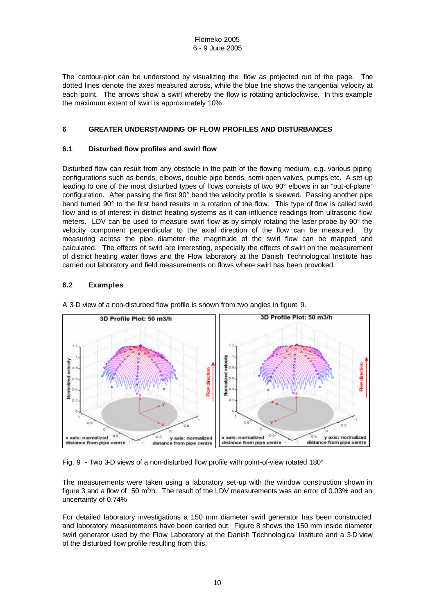The contour-plot can be understood by visualizing the flow as projected out of the page. The dotted lines denote the axes measured across, while the blue line shows the tangential velocity at each point. The arrows show a swirl whereby the flow is rotating anticlockwise. In this example the maximum extent of swirl is approximately 10%.

## **6 GREATER UNDERSTANDING OF FLOW PROFILES AND DISTURBANCES**

## **6.1 Disturbed flow profiles and swirl flow**

Disturbed flow can result from any obstacle in the path of the flowing medium, e.g. various piping configurations such as bends, elbows, double pipe bends, semi-open valves, pumps etc. A set-up leading to one of the most disturbed types of flows consists of two 90° elbows in an "out-of-plane" configuration. After passing the first 90° bend the velocity profile is skewed. Passing another pipe bend turned 90° to the first bend results in a rotation of the flow. This type of flow is called swirl flow and is of interest in district heating systems as it can influence readings from ultrasonic flow meters. LDV can be used to measure swirl flow as by simply rotating the laser probe by 90° the velocity component perpendicular to the axial direction of the flow can be measured. By measuring across the pipe diameter the magnitude of the swirl flow can be mapped and calculated. The effects of swirl are interesting, especially the effects of swirl on the measurement of district heating water flows and the Flow laboratory at the Danish Technological Institute has carried out laboratory and field measurements on flows where swirl has been provoked.

## **6.2 Examples**



A 3-D view of a non-disturbed flow profile is shown from two angles in figure 9.

Fig. 9 - Two 3-D views of a non-disturbed flow profile with point-of-view rotated 180°

The measurements were taken using a laboratory set-up with the window construction shown in figure 3 and a flow of 50 m<sup>3</sup>/h. The result of the LDV measurements was an error of 0.03% and an uncertainty of 0.74%

For detailed laboratory investigations a 150 mm diameter swirl generator has been constructed and laboratory measurements have been carried out. Figure 8 shows the 150 mm inside diameter swirl generator used by the Flow Laboratory at the Danish Technological Institute and a 3-D view of the disturbed flow profile resulting from this.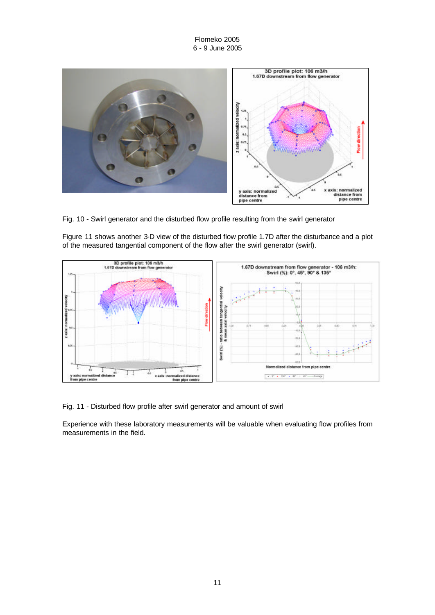

Fig. 10 - Swirl generator and the disturbed flow profile resulting from the swirl generator

Figure 11 shows another 3-D view of the disturbed flow profile 1.7D after the disturbance and a plot of the measured tangential component of the flow after the swirl generator (swirl).



Fig. 11 - Disturbed flow profile after swirl generator and amount of swirl

Experience with these laboratory measurements will be valuable when evaluating flow profiles from measurements in the field.